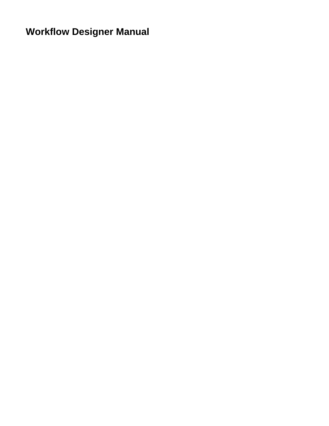**Workflow Designer Manual**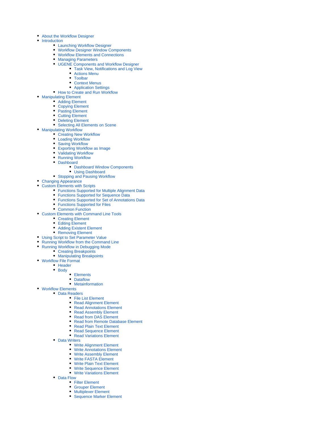- [About the Workflow Designer](https://doc.ugene.net/wiki/display/WDD/About+the+Workflow+Designer)
- [Introduction](https://doc.ugene.net/wiki/display/WDD/Introduction)
	- [Launching Workflow Designer](https://doc.ugene.net/wiki/display/WDD/Launching+Workflow+Designer)
	- [Workflow Designer Window Components](https://doc.ugene.net/wiki/display/WDD/Workflow+Designer+Window+Components)
	- [Workflow Elements and Connections](https://doc.ugene.net/wiki/display/WDD/Workflow+Elements+and+Connections)
	- [Managing Parameters](https://doc.ugene.net/wiki/display/WDD/Managing+Parameters)
	- [UGENE Components and Workflow Designer](https://doc.ugene.net/wiki/display/WDD/UGENE+Components+and+Workflow+Designer)
		- [Task View, Notifications and Log View](https://doc.ugene.net/wiki/display/WDD/Task+View%2C+Notifications+and+Log+View)
			- [Actions Menu](https://doc.ugene.net/wiki/display/WDD/Actions+Menu)
		- [Toolbar](https://doc.ugene.net/wiki/display/WDD/Toolbar)
		- [Context Menus](https://doc.ugene.net/wiki/display/WDD/Context+Menus)
	- [Application Settings](https://doc.ugene.net/wiki/display/WDD/Application+Settings) • [How to Create and Run Workflow](https://doc.ugene.net/wiki/display/WDD/How+to+Create+and+Run+Workflow)
- [Manipulating Element](https://doc.ugene.net/wiki/display/WDD/Manipulating+Element)
- - [Adding Element](https://doc.ugene.net/wiki/display/WDD/Adding+Element) [Copying Element](https://doc.ugene.net/wiki/display/WDD/Copying+Element)
	- [Pasting Element](https://doc.ugene.net/wiki/display/WDD/Pasting+Element)
	- [Cutting Element](https://doc.ugene.net/wiki/display/WDD/Cutting+Element)
	-
	- [Deleting Element](https://doc.ugene.net/wiki/display/WDD/Deleting+Element)
	- [Selecting All Elements on Scene](https://doc.ugene.net/wiki/display/WDD/Selecting+All+Elements+on+Scene)
- [Manipulating Workflow](https://doc.ugene.net/wiki/display/WDD/Manipulating+Workflow)
	- [Creating New Workflow](https://doc.ugene.net/wiki/display/WDD/Creating+New+Workflow)
	- [Loading Workflow](https://doc.ugene.net/wiki/display/WDD/Loading+Workflow)
	- [Saving Workflow](https://doc.ugene.net/wiki/display/WDD/Saving+Workflow)
	- [Exporting Workflow as Image](https://doc.ugene.net/wiki/display/WDD/Exporting+Workflow+as+Image)
	- [Validating Workflow](https://doc.ugene.net/wiki/display/WDD/Validating+Workflow)
	- [Running Workflow](https://doc.ugene.net/wiki/display/WDD/Running+Workflow)
	- [Dashboard](https://doc.ugene.net/wiki/display/WDD/Dashboard)
		- [Dashboard Window Components](https://doc.ugene.net/wiki/display/WDD/Dashboard+Window+Components)
		- [Using Dashboard](https://doc.ugene.net/wiki/display/WDD/Using+Dashboard)
	- [Stopping and Pausing Workflow](https://doc.ugene.net/wiki/display/WDD/Stopping+and+Pausing+Workflow)
- [Changing Appearance](https://doc.ugene.net/wiki/display/WDD/Changing+Appearance)
- [Custom Elements with Scripts](https://doc.ugene.net/wiki/display/WDD/Custom+Elements+with+Scripts)
	- [Functions Supported for Multiple Alignment Data](https://doc.ugene.net/wiki/display/WDD/Functions+Supported+for+Multiple+Alignment+Data)
	- [Functions Supported for Sequence Data](https://doc.ugene.net/wiki/display/WDD/Functions+Supported+for+Sequence+Data)
	- [Functions Supported for Set of Annotations Data](https://doc.ugene.net/wiki/display/WDD/Functions+Supported+for+Set+of+Annotations+Data)
	- [Functions Supported for Files](https://doc.ugene.net/wiki/display/WDD/Functions+Supported+for+Files)
	- [Common Function](https://doc.ugene.net/wiki/display/WDD/Common+Function)
- [Custom Elements with Command Line Tools](https://doc.ugene.net/wiki/display/WDD/Custom+Elements+with+Command+Line+Tools)
	- [Creating Element](https://doc.ugene.net/wiki/display/WDD/Creating+Element)
	- [Editing Element](https://doc.ugene.net/wiki/display/WDD/Editing+Element)
	- [Adding Existent Element](https://doc.ugene.net/wiki/display/WDD/Adding+Existent+Element)
	- [Removing Element](https://doc.ugene.net/wiki/display/WDD/Removing+Element)
- [Using Script to Set Parameter Value](https://doc.ugene.net/wiki/display/WDD/Using+Script+to+Set+Parameter+Value)
- [Running Workflow from the Command Line](https://doc.ugene.net/wiki/display/WDD/Running+Workflow+from+the+Command+Line)  $\bullet$ 
	- [Running Workflow in Debugging Mode](https://doc.ugene.net/wiki/display/WDD/Running+Workflow+in+Debugging+Mode)
		- [Creating Breakpoints](https://doc.ugene.net/wiki/display/WDD/Creating+Breakpoints)
	- [Manipulating Breakpoints](https://doc.ugene.net/wiki/display/WDD/Manipulating+Breakpoints)
- [Workflow File Format](https://doc.ugene.net/wiki/display/WDD/Workflow+File+Format)
	- [Header](https://doc.ugene.net/wiki/display/WDD/Header)
	- $-$  [Body](https://doc.ugene.net/wiki/display/WDD/Body)
		- [Elements](https://doc.ugene.net/wiki/display/WDD/Elements)
		- [Dataflow](https://doc.ugene.net/wiki/display/WDD/Dataflow)
		- [Metainformation](https://doc.ugene.net/wiki/display/WDD/Metainformation)
- [Workflow Elements](https://doc.ugene.net/wiki/display/WDD/Workflow+Elements)
	- [Data Readers](https://doc.ugene.net/wiki/display/WDD/Data+Readers)
		- [File List Element](https://doc.ugene.net/wiki/display/WDD/File+List+Element)
		- [Read Alignment Element](https://doc.ugene.net/wiki/display/WDD/Read+Alignment+Element)
		- [Read Annotations Element](https://doc.ugene.net/wiki/display/WDD/Read+Annotations+Element)
		- [Read Assembly Element](https://doc.ugene.net/wiki/display/WDD/Read+Assembly+Element)
		- [Read from DAS Element](https://doc.ugene.net/wiki/display/WDD/Read+from+DAS+Element)
		- [Read from Remote Database Element](https://doc.ugene.net/wiki/display/WDD/Read+from+Remote+Database+Element)
		- [Read Plain Text Element](https://doc.ugene.net/wiki/display/WDD/Read+Plain+Text+Element)
		- [Read Sequence Element](https://doc.ugene.net/wiki/display/WDD/Read+Sequence+Element)
		- [Read Variations Element](https://doc.ugene.net/wiki/display/WDD/Read+Variations+Element)
		- [Data Writers](https://doc.ugene.net/wiki/display/WDD/Data+Writers)
			- [Write Alignment Element](https://doc.ugene.net/wiki/display/WDD/Write+Alignment+Element)
			- [Write Annotations Element](https://doc.ugene.net/wiki/display/WDD/Write+Annotations+Element)
			- [Write Assembly Element](https://doc.ugene.net/wiki/display/WDD/Write+Assembly+Element)
			- [Write FASTA Element](https://doc.ugene.net/wiki/display/WDD/Write+FASTA+Element)  $\bullet$
			- [Write Plain Text Element](https://doc.ugene.net/wiki/display/WDD/Write+Plain+Text+Element)
			- [Write Sequence Element](https://doc.ugene.net/wiki/display/WDD/Write+Sequence+Element)
			- [Write Variations Element](https://doc.ugene.net/wiki/display/WDD/Write+Variations+Element)
		- [Data Flow](https://doc.ugene.net/wiki/display/WDD/Data+Flow)
			- [Filter Element](https://doc.ugene.net/wiki/display/WDD/Filter+Element) [Grouper Element](https://doc.ugene.net/wiki/display/WDD/Grouper+Element)
			-
			- [Multiplexer Element](https://doc.ugene.net/wiki/display/WDD/Multiplexer+Element)
			- [Sequence Marker Element](https://doc.ugene.net/wiki/display/WDD/Sequence+Marker+Element)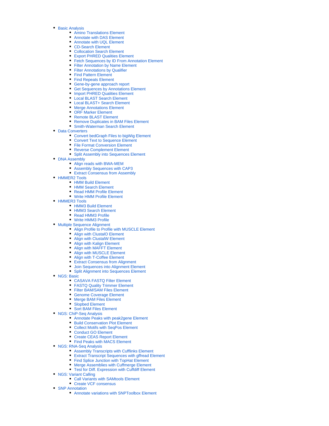- [Basic Analysis](https://doc.ugene.net/wiki/display/WDD/Basic+Analysis)
	- [Amino Translations Element](https://doc.ugene.net/wiki/display/WDD/Amino+Translations+Element)
	- [Annotate with DAS Element](https://doc.ugene.net/wiki/display/WDD/Annotate+with+DAS+Element)
	- [Annotate with UQL Element](https://doc.ugene.net/wiki/display/WDD/Annotate+with+UQL+Element)
	- [CD-Search Element](https://doc.ugene.net/wiki/display/WDD/CD-Search+Element)
	- [Collocation Search Element](https://doc.ugene.net/wiki/display/WDD/Collocation+Search+Element)
	- [Export PHRED Qualities Element](https://doc.ugene.net/wiki/display/WDD/Export+PHRED+Qualities+Element)
	- [Fetch Sequences by ID From Annotation Element](https://doc.ugene.net/wiki/display/WDD/Fetch+Sequences+by+ID+From+Annotation+Element)
	- [Filter Annotation by Name Element](https://doc.ugene.net/wiki/display/WDD/Filter+Annotation+by+Name+Element)
	- [Filter Annotations by Qualifier](https://doc.ugene.net/wiki/display/WDD/Filter+Annotations+by+Qualifier) ● [Find Pattern Element](https://doc.ugene.net/wiki/display/WDD/Find+Pattern+Element)
	- [Find Repeats Element](https://doc.ugene.net/wiki/display/WDD/Find+Repeats+Element)
	- [Gene-by-gene approach report](https://doc.ugene.net/wiki/display/WDD/Gene-by-gene+approach+report)
	- [Get Sequences by Annotations Element](https://doc.ugene.net/wiki/display/WDD/Get+Sequences+by+Annotations+Element)
	- [Import PHRED Qualities Element](https://doc.ugene.net/wiki/display/WDD/Import+PHRED+Qualities+Element)
	- [Local BLAST Search Element](https://doc.ugene.net/wiki/display/WDD/Local+BLAST+Search+Element)
	- [Local BLAST+ Search Element](https://doc.ugene.net/wiki/pages/viewpage.action?pageId=2097277)
	- [Merge Annotations Element](https://doc.ugene.net/wiki/display/WDD/Merge+Annotations+Element)
	- [ORF Marker Element](https://doc.ugene.net/wiki/display/WDD/ORF+Marker+Element)
	- [Remote BLAST Element](https://doc.ugene.net/wiki/display/WDD/Remote+BLAST+Element)
	- [Remove Duplicates in BAM Files Element](https://doc.ugene.net/wiki/display/WDD/Remove+Duplicates+in+BAM+Files+Element)
	- [Smith-Waterman Search Element](https://doc.ugene.net/wiki/display/WDD/Smith-Waterman+Search+Element)
- [Data Converters](https://doc.ugene.net/wiki/display/WDD/Data+Converters)
	- [Convert bedGraph Files to bigWig Element](https://doc.ugene.net/wiki/display/WDD/Convert+bedGraph+Files+to+bigWig+Element)
	- [Convert Text to Sequence Element](https://doc.ugene.net/wiki/display/WDD/Convert+Text+to+Sequence+Element)
	- [File Format Conversion Element](https://doc.ugene.net/wiki/display/WDD/File+Format+Conversion+Element)
	- [Reverse Complement Element](https://doc.ugene.net/wiki/display/WDD/Reverse+Complement+Element)
	- [Split Assembly into Sequences Element](https://doc.ugene.net/wiki/display/WDD/Split+Assembly+into+Sequences+Element)
- [DNA Assembly](https://doc.ugene.net/wiki/display/WDD/DNA+Assembly)
	- [Align reads with BWA-MEM](https://doc.ugene.net/wiki/display/WDD/Align+reads+with+BWA-MEM)
	- [Assembly Sequences with CAP3](https://doc.ugene.net/wiki/display/WDD/Assembly+Sequences+with+CAP3)
	- [Extract Consensus from Assembly](https://doc.ugene.net/wiki/display/WDD/Extract+Consensus+from+Assembly)
- [HMMER2 Tools](https://doc.ugene.net/wiki/display/WDD/HMMER2+Tools)
	- [HMM Build Element](https://doc.ugene.net/wiki/display/WDD/HMM+Build+Element)
	- [HMM Search Element](https://doc.ugene.net/wiki/display/WDD/HMM+Search+Element)
	- [Read HMM Profile Element](https://doc.ugene.net/wiki/display/WDD/Read+HMM+Profile+Element)
	- [Write HMM Profile Element](https://doc.ugene.net/wiki/display/WDD/Write+HMM+Profile+Element)
- [HMMER3 Tools](https://doc.ugene.net/wiki/display/WDD/HMMER3+Tools)
	- [HMM3 Build Element](https://doc.ugene.net/wiki/display/WDD/HMM3+Build+Element)
	- [HMM3 Search Element](https://doc.ugene.net/wiki/display/WDD/HMM3+Search+Element)
	- [Read HMM3 Profile](https://doc.ugene.net/wiki/display/WDD/Read+HMM3+Profile)
	- [Write HMM3 Profile](https://doc.ugene.net/wiki/display/WDD/Write+HMM3+Profile)
- [Multiple Sequence Alignment](https://doc.ugene.net/wiki/display/WDD/Multiple+Sequence+Alignment)
	- [Align Profile to Profile with MUSCLE Element](https://doc.ugene.net/wiki/display/WDD/Align+Profile+to+Profile+with+MUSCLE+Element)
		- [Align with ClustalO Element](https://doc.ugene.net/wiki/display/WDD/Align+with+ClustalO+Element)
		- [Align with ClustalW Element](https://doc.ugene.net/wiki/display/WDD/Align+with+ClustalW+Element)
		- [Align with Kalign Element](https://doc.ugene.net/wiki/display/WDD/Align+with+Kalign+Element)
		- [Align with MAFFT Element](https://doc.ugene.net/wiki/display/WDD/Align+with+MAFFT+Element)
		- [Align with MUSCLE Element](https://doc.ugene.net/wiki/display/WDD/Align+with+MUSCLE+Element)
		- [Align with T-Coffee Element](https://doc.ugene.net/wiki/display/WDD/Align+with+T-Coffee+Element)
		- [Extract Consensus from Alignment](https://doc.ugene.net/wiki/display/WDD/Extract+Consensus+from+Alignment)
		- [Join Sequences into Alignment Element](https://doc.ugene.net/wiki/display/WDD/Join+Sequences+into+Alignment+Element)
	- [Split Alignment into Sequences Element](https://doc.ugene.net/wiki/display/WDD/Split+Alignment+into+Sequences+Element)
- [NGS: Basic](https://doc.ugene.net/wiki/display/WDD/NGS%3A+Basic)
	- [CASAVA FASTQ Filter Element](https://doc.ugene.net/wiki/display/WDD/CASAVA+FASTQ+Filter+Element)
	- [FASTQ Quality Trimmer Element](https://doc.ugene.net/wiki/display/WDD/FASTQ+Quality+Trimmer+Element)
	- [Filter BAM/SAM Files Element](https://doc.ugene.net/wiki/pages/viewpage.action?pageId=5373967)
	- [Genome Coverage Element](https://doc.ugene.net/wiki/display/WDD/Genome+Coverage+Element)
	- [Merge BAM Files Element](https://doc.ugene.net/wiki/display/WDD/Merge+BAM+Files+Element)
	- [Slopbed Element](https://doc.ugene.net/wiki/display/WDD/Slopbed+Element)
	- [Sort BAM Files Element](https://doc.ugene.net/wiki/display/WDD/Sort+BAM+Files+Element)
- [NGS: ChiP-Seq Analysis](https://doc.ugene.net/wiki/display/WDD/NGS%3A+ChiP-Seq+Analysis)
	- [Annotate Peaks with peak2gene Element](https://doc.ugene.net/wiki/display/WDD/Annotate+Peaks+with+peak2gene+Element)
	- [Build Conservation Plot Element](https://doc.ugene.net/wiki/display/WDD/Build+Conservation+Plot+Element)
	- [Collect Motifs with SeqPos Element](https://doc.ugene.net/wiki/display/WDD/Collect+Motifs+with+SeqPos+Element)
	- [Conduct GO Element](https://doc.ugene.net/wiki/display/WDD/Conduct+GO+Element)
	-
	- [Create CEAS Report Element](https://doc.ugene.net/wiki/display/WDD/Create+CEAS+Report+Element) [Find Peaks with MACS Element](https://doc.ugene.net/wiki/display/WDD/Find+Peaks+with+MACS+Element)
	-
- [NGS: RNA-Seq Analysis](https://doc.ugene.net/wiki/display/WDD/NGS%3A+RNA-Seq+Analysis)
	- [Assembly Transcripts with Cufflinks Element](https://doc.ugene.net/wiki/display/WDD/Assembly+Transcripts+with+Cufflinks+Element)
	- [Extract Transcript Sequences with gffread Element](https://doc.ugene.net/wiki/display/WDD/Extract+Transcript+Sequences+with+gffread+Element)
	- [Find Splice Junction with TopHat Element](https://doc.ugene.net/wiki/display/WDD/Find+Splice+Junction+with+TopHat+Element)
	- [Merge Assemblies with Cuffmerge Element](https://doc.ugene.net/wiki/display/WDD/Merge+Assemblies+with+Cuffmerge+Element)
	- [Test for Diff. Expression with Cuffdiff Element](https://doc.ugene.net/wiki/display/WDD/Test+for+Diff.+Expression+with+Cuffdiff+Element)
- [NGS: Variant Calling](https://doc.ugene.net/wiki/display/WDD/NGS%3A+Variant+Calling)
	- [Call Variants with SAMtools Element](https://doc.ugene.net/wiki/display/WDD/Call+Variants+with+SAMtools+Element)
	- [Create VCF consensus](https://doc.ugene.net/wiki/display/WDD/Create+VCF+consensus)
- [SNP Annotation](https://doc.ugene.net/wiki/display/WDD/SNP+Annotation)
	- [Annotate variations with SNPToolbox Element](https://doc.ugene.net/wiki/display/WDD/Annotate+variations+with+SNPToolbox+Element)